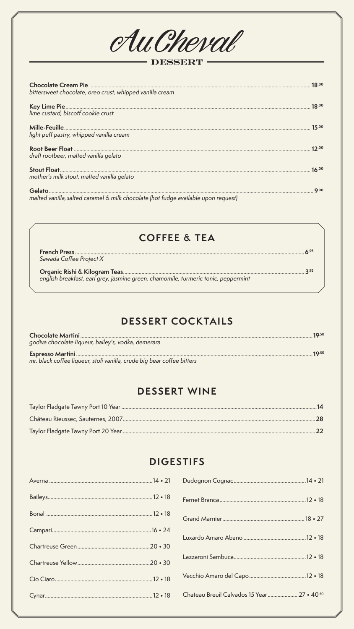

#### DESSERT

| bittersweet chocolate, oreo crust, whipped vanilla cream                           | 18.00 |
|------------------------------------------------------------------------------------|-------|
| lime custard, biscoff cookie crust                                                 | 18.00 |
|                                                                                    | 15.00 |
| light puff pastry, whipped vanilla cream                                           |       |
|                                                                                    | 12.00 |
| draft rootbeer, malted vanilla gelato                                              |       |
|                                                                                    | 16.00 |
| mother's milk stout, malted vanilla gelato                                         |       |
|                                                                                    | Q.00  |
| malted vanilla, salted caramel & milk chocolate (hot fudge available upon request) |       |

## **COFFEE & TEA**

| Sawada Coffee Project X                                                            |      |
|------------------------------------------------------------------------------------|------|
| english breakfast, earl grey, jasmine green, chamomile, turmeric tonic, peppermint | 2.95 |

## **DESSERT COCKTAILS**

|                                                                        | 19.50 |
|------------------------------------------------------------------------|-------|
| godiva chocolate liqueur, bailey's, vodka, demerara                    |       |
|                                                                        | 19.50 |
| mr. black coffee liqueur, stoli vanilla, crude big bear coffee bitters |       |

#### **DESSERT WINE**

## **DIGESTIFS**